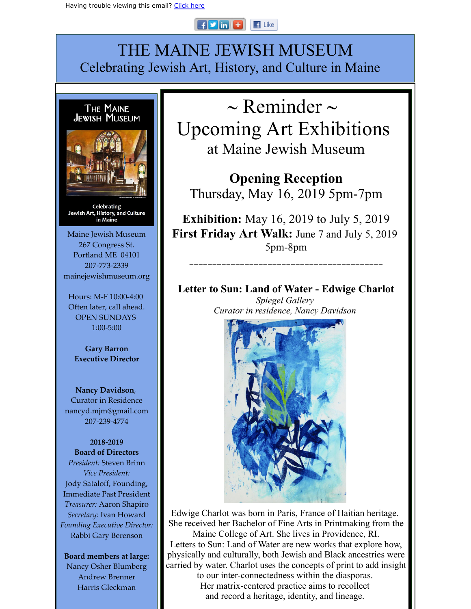## $\frac{1}{2}$   $\frac{1}{2}$   $\frac{1}{2}$   $\frac{1}{2}$   $\frac{1}{2}$   $\frac{1}{2}$  $\blacksquare$  Like

## THE MAINE JEWISH MUSEUM Celebrating Jewish Art, History, and Culture in Maine



Celebrating Jewish Art, History, and Culture in Maine

Maine Jewish Museum 267 Congress St. Portland ME 04101 207-773-2339 mainejewishmuseum.org

Hours: M-F 10:00-4:00 Often later, call ahead. OPEN SUNDAYS 1:00-5:00

**Gary Barron Executive Director**

**Nancy Davidson**, Curator in Residence nancyd.mjm@gmail.com 207-239-4774

**2018-2019 Board of Directors** *President:* Steven Brinn *Vice President:* Jody Sataloff, Founding, Immediate Past President *Treasurer:* Aaron Shapiro *Secretary:* Ivan Howard *Founding Executive Director:* Rabbi Gary Berenson

**Board members at large:**

Nancy Osher Blumberg Andrew Brenner Harris Gleckman

 $\sim$  Reminder  $\sim$ Upcoming Art Exhibitions at Maine Jewish Museum

**Opening Reception** Thursday, May 16, 2019 5pm-7pm

**Exhibition:** May 16, 2019 to July 5, 2019 **First Friday Art Walk:** June 7 and July 5, 2019 5pm-8pm

\_\_\_\_\_\_\_\_\_\_\_\_\_\_\_\_\_\_\_\_\_\_\_\_\_\_\_\_\_\_\_\_\_\_\_\_\_\_\_\_\_\_

**Letter to Sun: Land of Water - Edwige Charlot** *Spiegel Gallery Curator in residence, Nancy Davidson* 



Edwige Charlot was born in Paris, France of Haitian heritage. She received her Bachelor of Fine Arts in Printmaking from the Maine College of Art. She lives in Providence, RI. Letters to Sun: Land of Water are new works that explore how, physically and culturally, both Jewish and Black ancestries were carried by water. Charlot uses the concepts of print to add insight to our inter-connectedness within the diasporas. Her matrix-centered practice aims to recollect and record a heritage, identity, and lineage.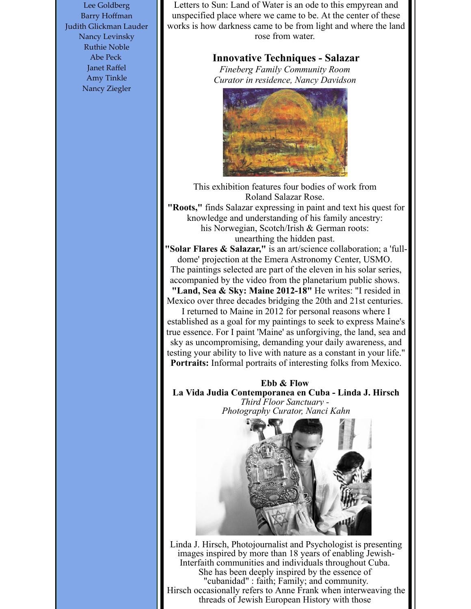Lee Goldberg Barry Hoffman Judith Glickman Lauder Nancy Levinsky Ruthie Noble Abe Peck Janet Raffel Amy Tinkle Nancy Ziegler

Letters to Sun: Land of Water is an ode to this empyrean and unspecified place where we came to be. At the center of these works is how darkness came to be from light and where the land rose from water.

## **Innovative Techniques - Salazar**

*Fineberg Family Community Room Curator in residence, Nancy Davidson* 



This exhibition features four bodies of work from Roland Salazar Rose.

**"Roots,"** finds Salazar expressing in paint and text his quest for knowledge and understanding of his family ancestry: his Norwegian, Scotch/Irish & German roots: unearthing the hidden past.

**"Solar Flares & Salazar,"** is an art/science collaboration; a 'fulldome' projection at the Emera Astronomy Center, USMO. The paintings selected are part of the eleven in his solar series, accompanied by the video from the planetarium public shows. **"Land, Sea & Sky: Maine 2012-18"** He writes: "I resided in

Mexico over three decades bridging the 20th and 21st centuries. I returned to Maine in 2012 for personal reasons where I established as a goal for my paintings to seek to express Maine's true essence. For I paint 'Maine' as unforgiving, the land, sea and sky as uncompromising, demanding your daily awareness, and

testing your ability to live with nature as a constant in your life." **Portraits:** Informal portraits of interesting folks from Mexico.

**Ebb & Flow La Vida Judia Contemporanea en Cuba - Linda J. Hirsch** *Third Floor Sanctuary - Photography Curator, Nanci Kahn*



Linda J. Hirsch, Photojournalist and Psychologist is presenting images inspired by more than 18 years of enabling Jewish-Interfaith communities and individuals throughout Cuba. She has been deeply inspired by the essence of "cubanidad" : faith; Family; and community. Hirsch occasionally refers to Anne Frank when interweaving the threads of Jewish European History with those